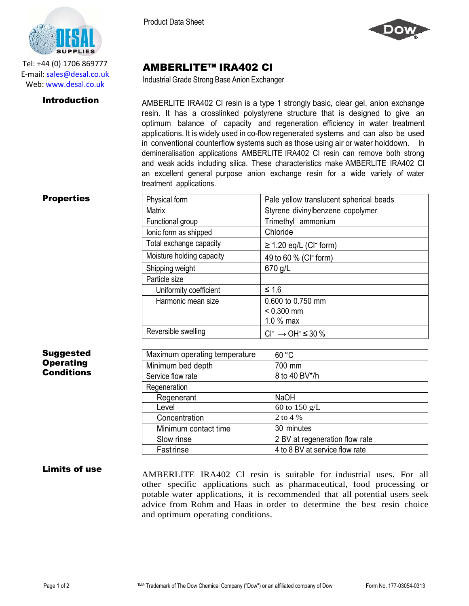

Tel: +44 (0) 1706 869777 E‐mail: sales@desal.co.uk Web: www.desal.co.uk

**Properties** 

Product Data Sheet



## AMBERLITE™ IRA402 Cl

Industrial Grade Strong Base Anion Exchanger

**Introduction** AMBERLITE IRA402 CI resin is a type 1 strongly basic, clear gel, anion exchange resin. It has a crosslinked polystyrene structure that is designed to give an optimum balance of capacity and regeneration efficiency in water treatment applications. It is widely used in co-flow regenerated systems and can also be used in conventional counterflow systems such as those using air or water holddown. In demineralisation applications AMBERLITE IRA402 Cl resin can remove both strong and weak acids including silica. These characteristics make AMBERLITE IRA402 Cl an excellent general purpose anion exchange resin for a wide variety of water treatment applications.

| Physical form             | Pale yellow translucent spherical beads |
|---------------------------|-----------------------------------------|
| <b>Matrix</b>             | Styrene divinylbenzene copolymer        |
| Functional group          | Trimethyl ammonium                      |
| lonic form as shipped     | Chloride                                |
| Total exchange capacity   | $\geq$ 1.20 eq/L (CI <sup>-</sup> form) |
| Moisture holding capacity | 49 to 60 % (CI <sup>-</sup> form)       |
| Shipping weight           | 670 g/L                                 |
| Particle size             |                                         |
| Uniformity coefficient    | ≤ 1.6                                   |
| Harmonic mean size        | 0.600 to 0.750 mm                       |
|                           | $< 0.300$ mm                            |
|                           | $1.0%$ max                              |
| Reversible swelling       | $Cl^- \rightarrow OH^- \leq 30\%$       |

| Suggested        |  |
|------------------|--|
| <b>Operating</b> |  |
| Conditions       |  |

| Maximum operating temperature | 60 °C                          |
|-------------------------------|--------------------------------|
| Minimum bed depth             | 700 mm                         |
| Service flow rate             | 8 to 40 BV*/h                  |
| Regeneration                  |                                |
| Regenerant                    | <b>NaOH</b>                    |
| Level                         | 60 to 150 $g/L$                |
| Concentration                 | 2 to 4 %                       |
| Minimum contact time          | 30 minutes                     |
| Slow rinse                    | 2 BV at regeneration flow rate |
| <b>Fastrinse</b>              | 4 to 8 BV at service flow rate |

## **Limits of use** AMBERLITE IRA402 CI resin is suitable for industrial uses. For all other specific applications such as pharmaceutical, food processing or potable water applications, it is recommended that all potential users seek advice from Rohm and Haas in order to determine the best resin choice and optimum operating conditions.